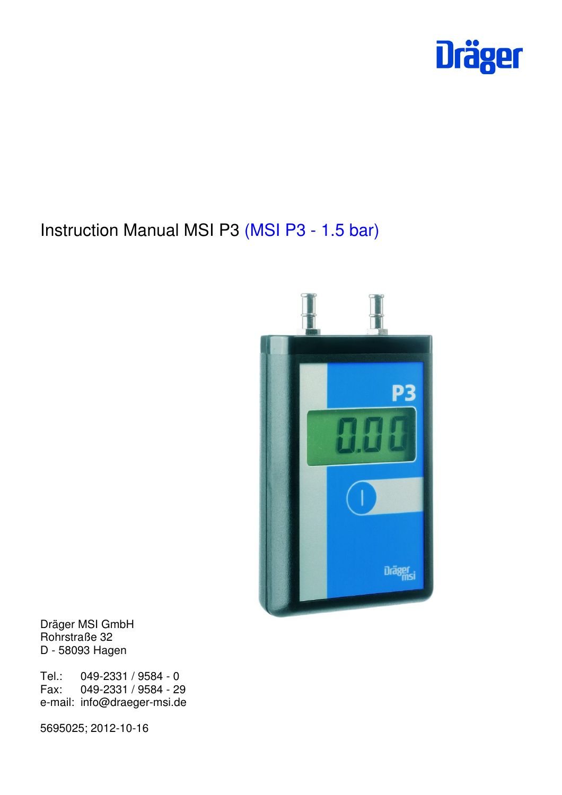

# Instruction Manual MSI P3 (MSI P3 - 1.5 bar)



Dräger MSI GmbH Rohrstraße 32 D - 58093 Hagen

Tel.: 049-2331 / 9584 - 0<br>Fax: 049-2331 / 9584 - 29 Fax: 049-2331 / 9584 - 29 e-mail: info@draeger-msi.de

5695025; 2012-10-16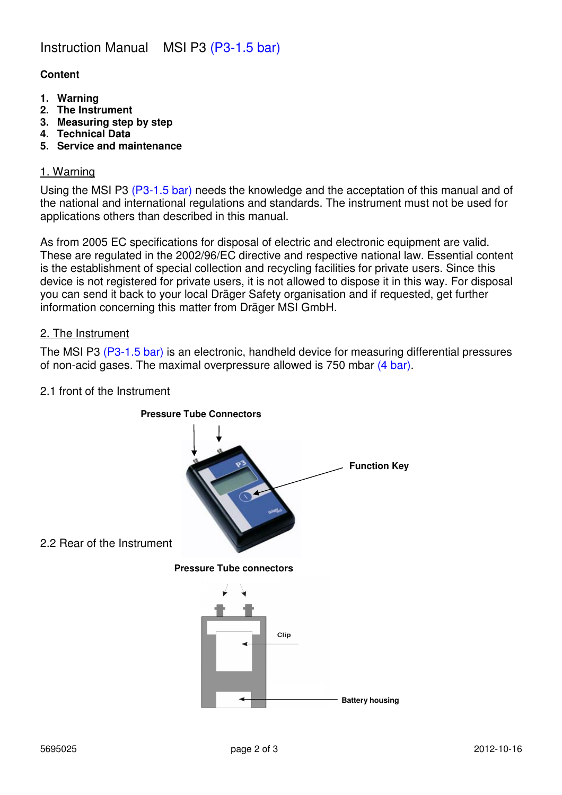## **Content**

- **1. Warning**
- **2. The Instrument**
- **3. Measuring step by step**
- **4. Technical Data**
- **5. Service and maintenance**

## 1. Warning

Using the MSI P3 (P3-1.5 bar) needs the knowledge and the acceptation of this manual and of the national and international regulations and standards. The instrument must not be used for applications others than described in this manual.

As from 2005 EC specifications for disposal of electric and electronic equipment are valid. These are regulated in the 2002/96/EC directive and respective national law. Essential content is the establishment of special collection and recycling facilities for private users. Since this device is not registered for private users, it is not allowed to dispose it in this way. For disposal you can send it back to your local Dräger Safety organisation and if requested, get further information concerning this matter from Dräger MSI GmbH.

#### 2. The Instrument

The MSI P3 (P3-1.5 bar) is an electronic, handheld device for measuring differential pressures of non-acid gases. The maximal overpressure allowed is 750 mbar (4 bar).

## 2.1 front of the Instrument